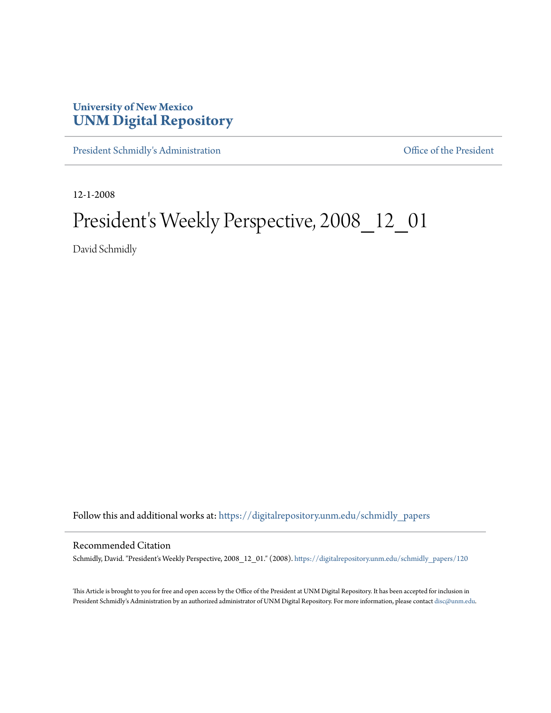## **University of New Mexico [UNM Digital Repository](https://digitalrepository.unm.edu?utm_source=digitalrepository.unm.edu%2Fschmidly_papers%2F120&utm_medium=PDF&utm_campaign=PDFCoverPages)**

[President Schmidly's Administration](https://digitalrepository.unm.edu/schmidly_papers?utm_source=digitalrepository.unm.edu%2Fschmidly_papers%2F120&utm_medium=PDF&utm_campaign=PDFCoverPages) [Office of the President](https://digitalrepository.unm.edu/ofc_president?utm_source=digitalrepository.unm.edu%2Fschmidly_papers%2F120&utm_medium=PDF&utm_campaign=PDFCoverPages)

12-1-2008

## President's Weekly Perspective, 2008\_12\_01

David Schmidly

Follow this and additional works at: [https://digitalrepository.unm.edu/schmidly\\_papers](https://digitalrepository.unm.edu/schmidly_papers?utm_source=digitalrepository.unm.edu%2Fschmidly_papers%2F120&utm_medium=PDF&utm_campaign=PDFCoverPages)

## Recommended Citation

Schmidly, David. "President's Weekly Perspective, 2008\_12\_01." (2008). [https://digitalrepository.unm.edu/schmidly\\_papers/120](https://digitalrepository.unm.edu/schmidly_papers/120?utm_source=digitalrepository.unm.edu%2Fschmidly_papers%2F120&utm_medium=PDF&utm_campaign=PDFCoverPages)

This Article is brought to you for free and open access by the Office of the President at UNM Digital Repository. It has been accepted for inclusion in President Schmidly's Administration by an authorized administrator of UNM Digital Repository. For more information, please contact [disc@unm.edu](mailto:disc@unm.edu).